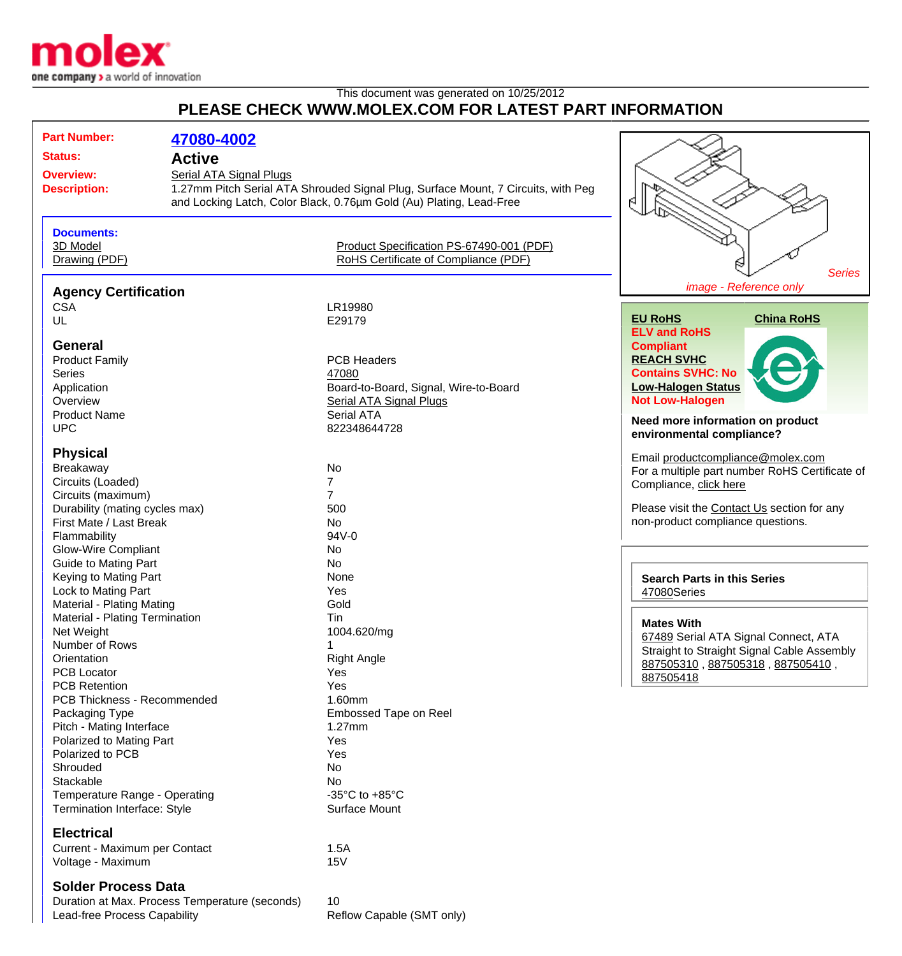

# This document was generated on 10/25/2012 **PLEASE CHECK WWW.MOLEX.COM FOR LATEST PART INFORMATION**

| <b>Part Number:</b>                                | 47080-4002                     |                                                                                   |                                                   |  |
|----------------------------------------------------|--------------------------------|-----------------------------------------------------------------------------------|---------------------------------------------------|--|
| <b>Status:</b>                                     | <b>Active</b>                  |                                                                                   |                                                   |  |
| <b>Overview:</b>                                   | <b>Serial ATA Signal Plugs</b> |                                                                                   |                                                   |  |
| <b>Description:</b>                                |                                | 1.27mm Pitch Serial ATA Shrouded Signal Plug, Surface Mount, 7 Circuits, with Peg |                                                   |  |
|                                                    |                                | and Locking Latch, Color Black, 0.76um Gold (Au) Plating, Lead-Free               | я                                                 |  |
|                                                    |                                |                                                                                   |                                                   |  |
| <b>Documents:</b>                                  |                                |                                                                                   |                                                   |  |
| 3D Model                                           |                                | Product Specification PS-67490-001 (PDF)                                          |                                                   |  |
| Drawing (PDF)                                      |                                | RoHS Certificate of Compliance (PDF)                                              | <b>Series</b>                                     |  |
| <b>Agency Certification</b>                        |                                |                                                                                   | image - Reference only                            |  |
| <b>CSA</b>                                         |                                | LR19980                                                                           |                                                   |  |
| UL                                                 |                                | E29179                                                                            | <b>EU RoHS</b><br><b>China RoHS</b>               |  |
|                                                    |                                |                                                                                   | <b>ELV and RoHS</b>                               |  |
| <b>General</b>                                     |                                |                                                                                   | <b>Compliant</b>                                  |  |
| <b>Product Family</b>                              |                                | <b>PCB Headers</b>                                                                | <b>REACH SVHC</b>                                 |  |
| <b>Series</b>                                      |                                | 47080                                                                             | <b>Contains SVHC: No</b>                          |  |
| Application                                        |                                | Board-to-Board, Signal, Wire-to-Board                                             | <b>Low-Halogen Status</b>                         |  |
| Overview                                           |                                | <b>Serial ATA Signal Plugs</b>                                                    | <b>Not Low-Halogen</b>                            |  |
| <b>Product Name</b>                                |                                | Serial ATA                                                                        | Need more information on product                  |  |
| <b>UPC</b>                                         |                                | 822348644728                                                                      | environmental compliance?                         |  |
| <b>Physical</b>                                    |                                |                                                                                   | Email productcompliance@molex.com                 |  |
| Breakaway                                          |                                | No                                                                                | For a multiple part number RoHS Certificate of    |  |
| Circuits (Loaded)                                  |                                | $\overline{7}$                                                                    | Compliance, click here                            |  |
| Circuits (maximum)                                 |                                | $\overline{7}$                                                                    |                                                   |  |
| Durability (mating cycles max)                     |                                | 500                                                                               | Please visit the Contact Us section for any       |  |
| First Mate / Last Break                            |                                | No                                                                                | non-product compliance questions.                 |  |
| Flammability                                       |                                | 94V-0                                                                             |                                                   |  |
| <b>Glow-Wire Compliant</b>                         |                                | No                                                                                |                                                   |  |
| <b>Guide to Mating Part</b>                        |                                | No                                                                                |                                                   |  |
| Keying to Mating Part                              |                                | None                                                                              | <b>Search Parts in this Series</b><br>47080Series |  |
| Lock to Mating Part                                |                                | Yes                                                                               |                                                   |  |
| Material - Plating Mating                          |                                | Gold                                                                              |                                                   |  |
| Material - Plating Termination                     |                                | Tin                                                                               | <b>Mates With</b>                                 |  |
| Net Weight                                         |                                | 1004.620/mg                                                                       | 67489 Serial ATA Signal Connect, ATA              |  |
| Number of Rows                                     |                                | 1                                                                                 | Straight to Straight Signal Cable Assembly        |  |
| Orientation                                        |                                | <b>Right Angle</b>                                                                | 887505310, 887505318, 887505410,                  |  |
| <b>PCB Locator</b>                                 |                                | Yes                                                                               | 887505418                                         |  |
| <b>PCB Retention</b>                               |                                | Yes                                                                               |                                                   |  |
| PCB Thickness - Recommended                        |                                | 1.60mm                                                                            |                                                   |  |
| Packaging Type                                     |                                | <b>Embossed Tape on Reel</b>                                                      |                                                   |  |
| Pitch - Mating Interface                           |                                | 1.27mm                                                                            |                                                   |  |
| Polarized to Mating Part<br>Polarized to PCB       |                                | Yes                                                                               |                                                   |  |
| Shrouded                                           |                                | Yes<br>No                                                                         |                                                   |  |
| Stackable                                          |                                | No                                                                                |                                                   |  |
| Temperature Range - Operating                      |                                | -35 $\mathrm{^{\circ}C}$ to +85 $\mathrm{^{\circ}C}$                              |                                                   |  |
| Termination Interface: Style                       |                                | Surface Mount                                                                     |                                                   |  |
| <b>Electrical</b>                                  |                                |                                                                                   |                                                   |  |
|                                                    |                                | 1.5A                                                                              |                                                   |  |
| Current - Maximum per Contact<br>Voltage - Maximum |                                | 15V                                                                               |                                                   |  |
|                                                    |                                |                                                                                   |                                                   |  |

## **Solder Process Data**

Duration at Max. Process Temperature (seconds) 10<br>Lead-free Process Capability Reflow Capable (SMT only) Lead-free Process Capability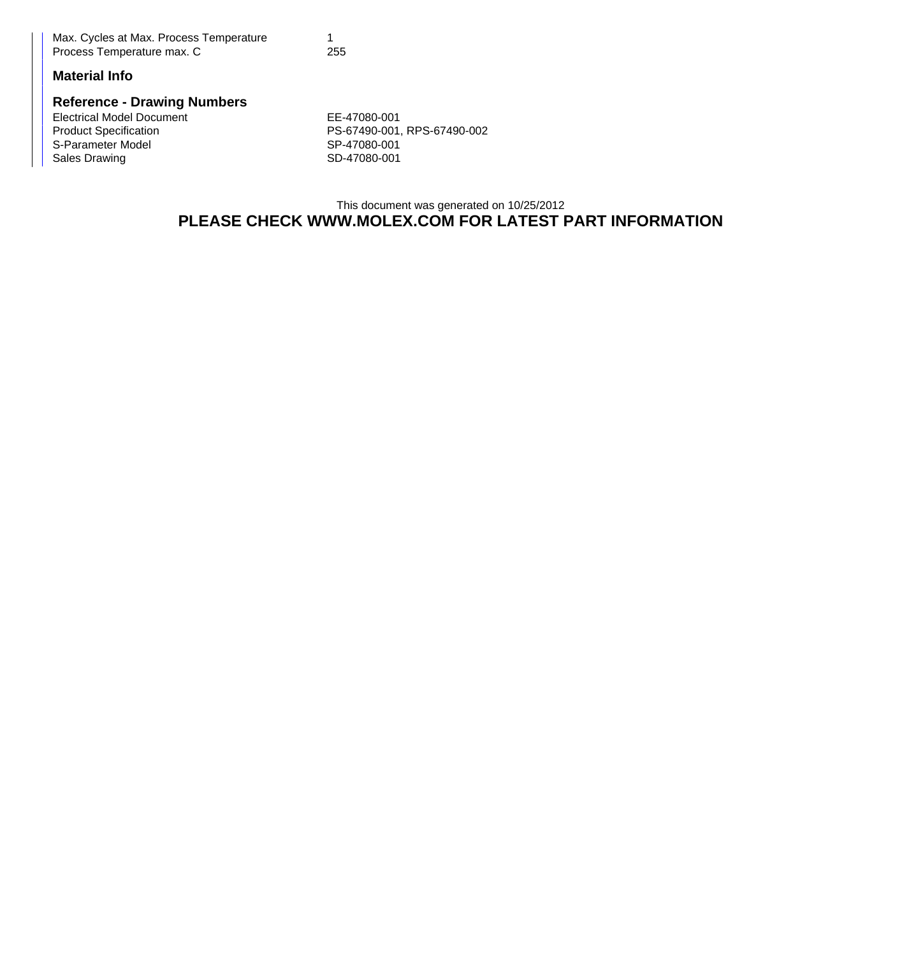| Max. Cycles at Max. Process Temperature |     |
|-----------------------------------------|-----|
| Process Temperature max. C              | 255 |

# **Material Info**

#### **Reference - Drawing Numbers**

Electrical Model Document **EE-47080-001** S-Parameter Model<br>Sales Drawing

Product Specification <br>
S-Parameter Model S-Parameter Model<br>
SP-47080-001 SD-47080-001

## This document was generated on 10/25/2012 **PLEASE CHECK WWW.MOLEX.COM FOR LATEST PART INFORMATION**